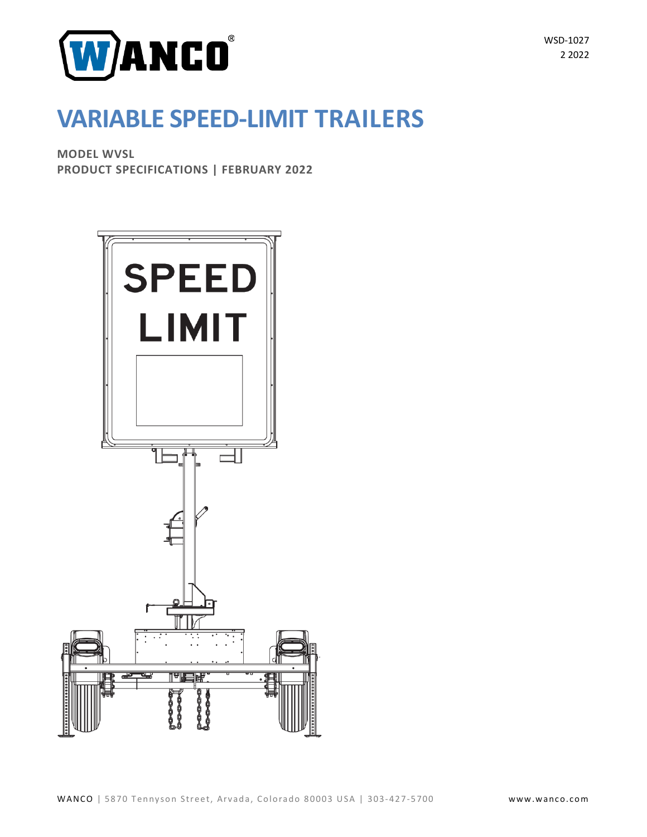

**VARIABLE SPEED-LIMIT TRAILERS**

**MODEL WVSL PRODUCT SPECIFICATIONS | FEBRUARY 2022**

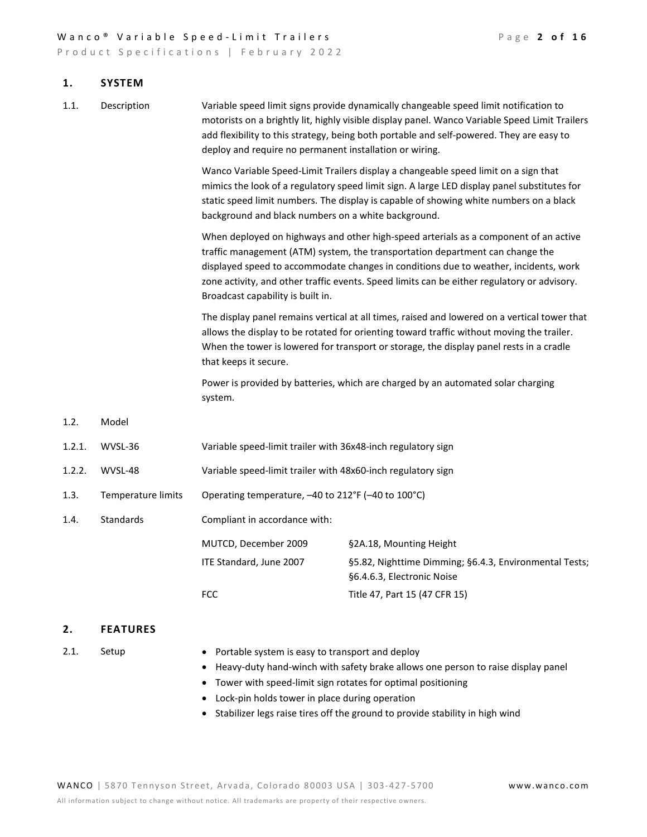#### Wanco<sup>®</sup> Variable Speed-Limit Trailers **Page 2 of 16**

Product Specifications | February 2022

#### **1. SYSTEM**

1.1. Description Variable speed limit signs provide dynamically changeable speed limit notification to motorists on a brightly lit, highly visible display panel. Wanco Variable Speed Limit Trailers add flexibility to this strategy, being both portable and self-powered. They are easy to deploy and require no permanent installation or wiring.

> Wanco Variable Speed-Limit Trailers display a changeable speed limit on a sign that mimics the look of a regulatory speed limit sign. A large LED display panel substitutes for static speed limit numbers. The display is capable of showing white numbers on a black background and black numbers on a white background.

> When deployed on highways and other high-speed arterials as a component of an active traffic management (ATM) system, the transportation department can change the displayed speed to accommodate changes in conditions due to weather, incidents, work zone activity, and other traffic events. Speed limits can be either regulatory or advisory. Broadcast capability is built in.

The display panel remains vertical at all times, raised and lowered on a vertical tower that allows the display to be rotated for orienting toward traffic without moving the trailer. When the tower is lowered for transport or storage, the display panel rests in a cradle that keeps it secure.

Power is provided by batteries, which are charged by an automated solar charging system.

1.2. Model

| 1.2.1. | WVSL-36 | Variable speed-limit trailer with 36x48-inch regulatory sign |
|--------|---------|--------------------------------------------------------------|
|        |         |                                                              |

- 1.2.2. WVSL-48 Variable speed-limit trailer with 48x60-inch regulatory sign
- 1.3. Temperature limits Operating temperature, –40 to 212°F (–40 to 100°C)
- 1.4. Standards Compliant in accordance with:

| MUTCD, December 2009    | §2A.18, Mounting Height                                |
|-------------------------|--------------------------------------------------------|
| ITE Standard, June 2007 | §5.82, Nighttime Dimming; §6.4.3, Environmental Tests; |
|                         | §6.4.6.3, Electronic Noise                             |
| FCC.                    | Title 47, Part 15 (47 CFR 15)                          |
|                         |                                                        |

#### **2. FEATURES**

- 
- 2.1. Setup Portable system is easy to transport and deploy
	- Heavy-duty hand-winch with safety brake allows one person to raise display panel
	- Tower with speed-limit sign rotates for optimal positioning
	- Lock-pin holds tower in place during operation
	- Stabilizer legs raise tires off the ground to provide stability in high wind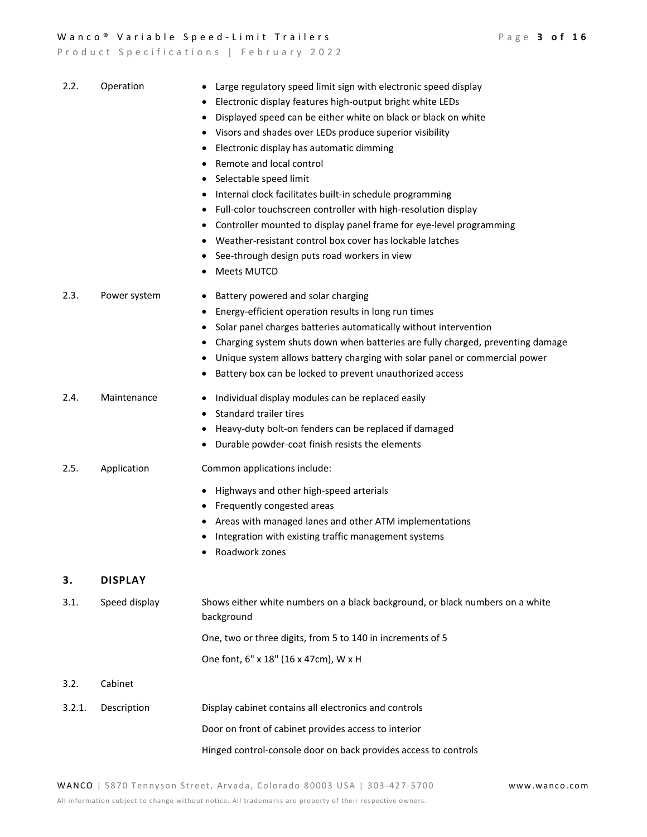Wanco<sup>®</sup> Variable Speed-Limit Trailers **Page 3 of 16** Product Specifications | February 2022 2.2. Operation • Large regulatory speed limit sign with electronic speed display • Electronic display features high-output bright white LEDs • Displayed speed can be either white on black or black on white • Visors and shades over LEDs produce superior visibility • Electronic display has automatic dimming • Remote and local control • Selectable speed limit • Internal clock facilitates built-in schedule programming • Full-color touchscreen controller with high-resolution display • Controller mounted to display panel frame for eye-level programming • Weather-resistant control box cover has lockable latches • See-through design puts road workers in view • Meets MUTCD 2.3. Power system • Battery powered and solar charging • Energy-efficient operation results in long run times • Solar panel charges batteries automatically without intervention • Charging system shuts down when batteries are fully charged, preventing damage • Unique system allows battery charging with solar panel or commercial power • Battery box can be locked to prevent unauthorized access 2.4. Maintenance • Individual display modules can be replaced easily • Standard trailer tires • Heavy-duty bolt-on fenders can be replaced if damaged • Durable powder-coat finish resists the elements 2.5. Application Common applications include: • Highways and other high-speed arterials • Frequently congested areas • Areas with managed lanes and other ATM implementations • Integration with existing traffic management systems • Roadwork zones

# **3. DISPLAY**

| 3.1.   | Speed display | Shows either white numbers on a black background, or black numbers on a white<br>background |
|--------|---------------|---------------------------------------------------------------------------------------------|
|        |               | One, two or three digits, from 5 to 140 in increments of 5                                  |
|        |               | One font, 6" x 18" (16 x 47cm), W x H                                                       |
| 3.2.   | Cabinet       |                                                                                             |
| 3.2.1. | Description   | Display cabinet contains all electronics and controls                                       |

Door on front of cabinet provides access to interior

Hinged control-console door on back provides access to controls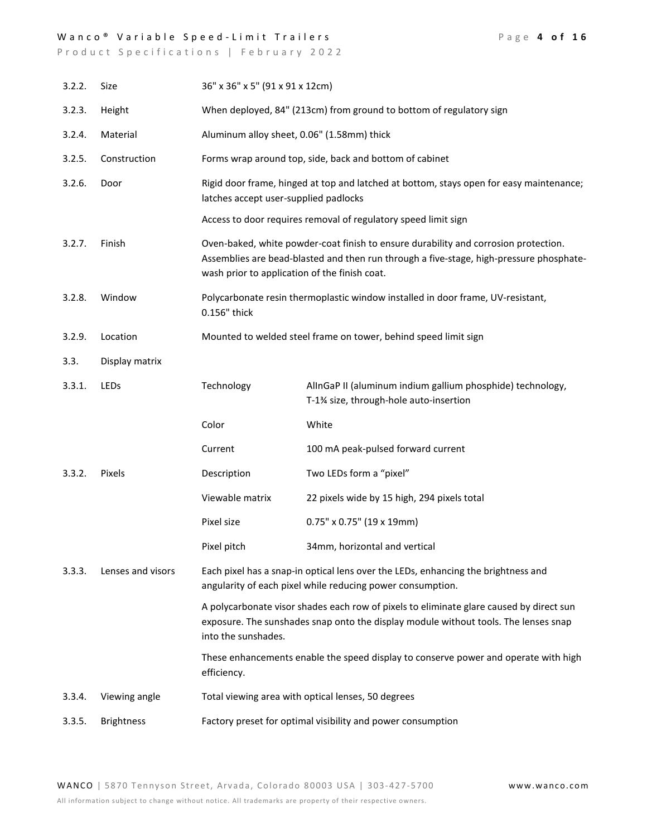## Wanco<sup>®</sup> Variable Speed-Limit Trailers Page 4 of 16

| 3.2.2. | Size              | 36" x 36" x 5" (91 x 91 x 12cm)                                     |                                                                                                                                                                                |  |
|--------|-------------------|---------------------------------------------------------------------|--------------------------------------------------------------------------------------------------------------------------------------------------------------------------------|--|
| 3.2.3. | Height            | When deployed, 84" (213cm) from ground to bottom of regulatory sign |                                                                                                                                                                                |  |
| 3.2.4. | Material          | Aluminum alloy sheet, 0.06" (1.58mm) thick                          |                                                                                                                                                                                |  |
| 3.2.5. | Construction      |                                                                     | Forms wrap around top, side, back and bottom of cabinet                                                                                                                        |  |
| 3.2.6. | Door              | latches accept user-supplied padlocks                               | Rigid door frame, hinged at top and latched at bottom, stays open for easy maintenance;                                                                                        |  |
|        |                   |                                                                     | Access to door requires removal of regulatory speed limit sign                                                                                                                 |  |
| 3.2.7. | Finish            | wash prior to application of the finish coat.                       | Oven-baked, white powder-coat finish to ensure durability and corrosion protection.<br>Assemblies are bead-blasted and then run through a five-stage, high-pressure phosphate- |  |
| 3.2.8. | Window            | 0.156" thick                                                        | Polycarbonate resin thermoplastic window installed in door frame, UV-resistant,                                                                                                |  |
| 3.2.9. | Location          | Mounted to welded steel frame on tower, behind speed limit sign     |                                                                                                                                                                                |  |
| 3.3.   | Display matrix    |                                                                     |                                                                                                                                                                                |  |
| 3.3.1. | LEDs              | Technology                                                          | AllnGaP II (aluminum indium gallium phosphide) technology,<br>T-1% size, through-hole auto-insertion                                                                           |  |
|        |                   |                                                                     |                                                                                                                                                                                |  |
|        |                   | Color                                                               | White                                                                                                                                                                          |  |
|        |                   | Current                                                             | 100 mA peak-pulsed forward current                                                                                                                                             |  |
| 3.3.2. | Pixels            | Description                                                         | Two LEDs form a "pixel"                                                                                                                                                        |  |
|        |                   | Viewable matrix                                                     | 22 pixels wide by 15 high, 294 pixels total                                                                                                                                    |  |
|        |                   | Pixel size                                                          | $0.75" \times 0.75"$ (19 x 19mm)                                                                                                                                               |  |
|        |                   | Pixel pitch                                                         | 34mm, horizontal and vertical                                                                                                                                                  |  |
| 3.3.3. | Lenses and visors |                                                                     | Each pixel has a snap-in optical lens over the LEDs, enhancing the brightness and<br>angularity of each pixel while reducing power consumption.                                |  |
|        |                   | into the sunshades.                                                 | A polycarbonate visor shades each row of pixels to eliminate glare caused by direct sun<br>exposure. The sunshades snap onto the display module without tools. The lenses snap |  |
|        |                   | efficiency.                                                         | These enhancements enable the speed display to conserve power and operate with high                                                                                            |  |
| 3.3.4. | Viewing angle     |                                                                     | Total viewing area with optical lenses, 50 degrees                                                                                                                             |  |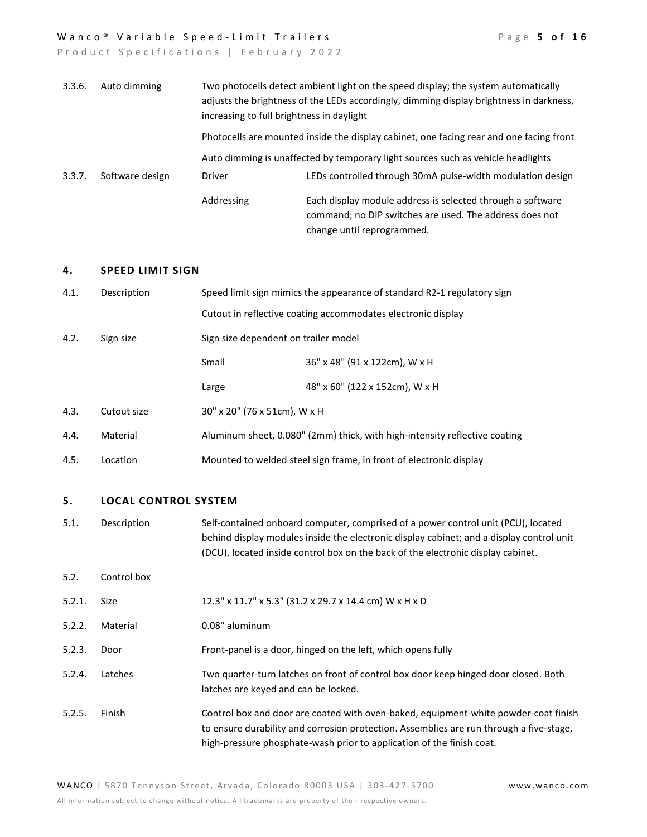#### Wanco<sup>®</sup> Variable Speed-Limit Trailers **Page 5 of 16**

| 3.3.6. | Auto dimming    | increasing to full brightness in daylight | Two photocells detect ambient light on the speed display; the system automatically<br>adjusts the brightness of the LEDs accordingly, dimming display brightness in darkness, |
|--------|-----------------|-------------------------------------------|-------------------------------------------------------------------------------------------------------------------------------------------------------------------------------|
|        |                 |                                           | Photocells are mounted inside the display cabinet, one facing rear and one facing front                                                                                       |
|        |                 |                                           | Auto dimming is unaffected by temporary light sources such as vehicle headlights                                                                                              |
| 3.3.7. | Software design | Driver                                    | LEDs controlled through 30mA pulse-width modulation design                                                                                                                    |
|        |                 | Addressing                                | Each display module address is selected through a software<br>command; no DIP switches are used. The address does not<br>change until reprogrammed.                           |

#### **4. SPEED LIMIT SIGN**

| 4.1.                                                      | Description | Speed limit sign mimics the appearance of standard R2-1 regulatory sign    |                                                              |
|-----------------------------------------------------------|-------------|----------------------------------------------------------------------------|--------------------------------------------------------------|
|                                                           |             |                                                                            | Cutout in reflective coating accommodates electronic display |
| 4.2.<br>Sign size dependent on trailer model<br>Sign size |             |                                                                            |                                                              |
|                                                           |             | Small                                                                      | 36" x 48" (91 x 122cm), W x H                                |
|                                                           |             | Large                                                                      | 48" x 60" (122 x 152cm), W x H                               |
| 4.3.                                                      | Cutout size | 30" x 20" (76 x 51cm), W x H                                               |                                                              |
| 4.4.                                                      | Material    | Aluminum sheet, 0.080" (2mm) thick, with high-intensity reflective coating |                                                              |
| 4.5.                                                      | Location    | Mounted to welded steel sign frame, in front of electronic display         |                                                              |
|                                                           |             |                                                                            |                                                              |

# **5. LOCAL CONTROL SYSTEM**

- 5.1. Description Self-contained onboard computer, comprised of a power control unit (PCU), located behind display modules inside the electronic display cabinet; and a display control unit (DCU), located inside control box on the back of the electronic display cabinet.
- 5.2. Control box

| 5.2.1. Size |  | 12.3" x 11.7" x 5.3" (31.2 x 29.7 x 14.4 cm) W x H x D |
|-------------|--|--------------------------------------------------------|
|-------------|--|--------------------------------------------------------|

5.2.2. Material 0.08" aluminum

5.2.3. Door Front-panel is a door, hinged on the left, which opens fully

- 5.2.4. Latches Two quarter-turn latches on front of control box door keep hinged door closed. Both latches are keyed and can be locked.
- 5.2.5. Finish Control box and door are coated with oven-baked, equipment-white powder-coat finish to ensure durability and corrosion protection. Assemblies are run through a five-stage, high-pressure phosphate-wash prior to application of the finish coat.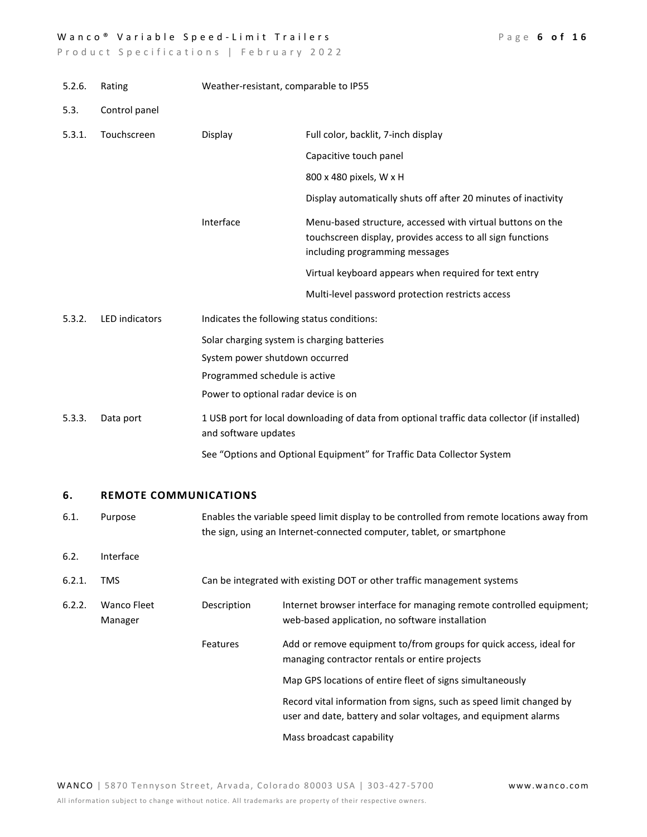## Wanco<sup>®</sup> Variable Speed-Limit Trailers Page 6 of 16

| 5.2.6. | Rating                        | Weather-resistant, comparable to IP55 |                                                                                                                                                                    |  |
|--------|-------------------------------|---------------------------------------|--------------------------------------------------------------------------------------------------------------------------------------------------------------------|--|
| 5.3.   | Control panel                 |                                       |                                                                                                                                                                    |  |
| 5.3.1. | Touchscreen                   | Display                               | Full color, backlit, 7-inch display                                                                                                                                |  |
|        |                               |                                       | Capacitive touch panel                                                                                                                                             |  |
|        |                               |                                       | 800 x 480 pixels, W x H                                                                                                                                            |  |
|        |                               |                                       | Display automatically shuts off after 20 minutes of inactivity                                                                                                     |  |
|        |                               | Interface                             | Menu-based structure, accessed with virtual buttons on the<br>touchscreen display, provides access to all sign functions<br>including programming messages         |  |
|        |                               |                                       | Virtual keyboard appears when required for text entry                                                                                                              |  |
|        |                               |                                       | Multi-level password protection restricts access                                                                                                                   |  |
| 5.3.2. | <b>LED</b> indicators         |                                       | Indicates the following status conditions:                                                                                                                         |  |
|        |                               |                                       | Solar charging system is charging batteries                                                                                                                        |  |
|        |                               | System power shutdown occurred        |                                                                                                                                                                    |  |
|        |                               | Programmed schedule is active         |                                                                                                                                                                    |  |
|        |                               | Power to optional radar device is on  |                                                                                                                                                                    |  |
| 5.3.3. | Data port                     | and software updates                  | 1 USB port for local downloading of data from optional traffic data collector (if installed)                                                                       |  |
|        |                               |                                       | See "Options and Optional Equipment" for Traffic Data Collector System                                                                                             |  |
| 6.     | <b>REMOTE COMMUNICATIONS</b>  |                                       |                                                                                                                                                                    |  |
| 6.1.   | Purpose                       |                                       | Enables the variable speed limit display to be controlled from remote locations away from<br>the sign, using an Internet-connected computer, tablet, or smartphone |  |
| 6.2.   | Interface                     |                                       |                                                                                                                                                                    |  |
| 6.2.1. | <b>TMS</b>                    |                                       | Can be integrated with existing DOT or other traffic management systems                                                                                            |  |
| 6.2.2. | <b>Wanco Fleet</b><br>Manager | Description                           | Internet browser interface for managing remote controlled equipment;<br>web-based application, no software installation                                            |  |
|        |                               | Features                              | Add or remove equipment to/from groups for quick access, ideal for<br>managing contractor rentals or entire projects                                               |  |
|        |                               |                                       | Map GPS locations of entire fleet of signs simultaneously                                                                                                          |  |
|        |                               |                                       | Record vital information from signs, such as speed limit changed by<br>user and date, battery and solar voltages, and equipment alarms                             |  |
|        |                               |                                       | Mass broadcast capability                                                                                                                                          |  |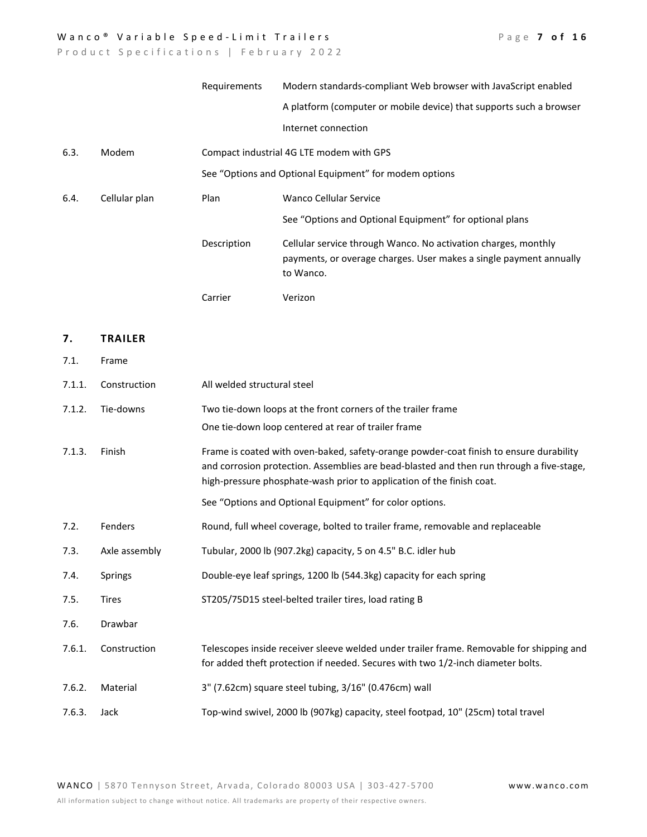## Wanco<sup>®</sup> Variable Speed-Limit Trailers Page 7 of 16

Product Specifications | February 2022

|      |               | Requirements | Modern standards-compliant Web browser with JavaScript enabled                                                                                    |
|------|---------------|--------------|---------------------------------------------------------------------------------------------------------------------------------------------------|
|      |               |              | A platform (computer or mobile device) that supports such a browser                                                                               |
|      |               |              | Internet connection                                                                                                                               |
| 6.3. | Modem         |              | Compact industrial 4G LTE modem with GPS                                                                                                          |
|      |               |              | See "Options and Optional Equipment" for modem options                                                                                            |
| 6.4. | Cellular plan | Plan         | Wanco Cellular Service                                                                                                                            |
|      |               |              | See "Options and Optional Equipment" for optional plans                                                                                           |
|      |               | Description  | Cellular service through Wanco. No activation charges, monthly<br>payments, or overage charges. User makes a single payment annually<br>to Wanco. |
|      |               | Carrier      | Verizon                                                                                                                                           |

# **7. TRAILER**

7.1. Frame

| 7.1.1. | Construction   | All welded structural steel                                                                                                                                                                                                                                                                                            |
|--------|----------------|------------------------------------------------------------------------------------------------------------------------------------------------------------------------------------------------------------------------------------------------------------------------------------------------------------------------|
| 7.1.2. | Tie-downs      | Two tie-down loops at the front corners of the trailer frame<br>One tie-down loop centered at rear of trailer frame                                                                                                                                                                                                    |
| 7.1.3. | Finish         | Frame is coated with oven-baked, safety-orange powder-coat finish to ensure durability<br>and corrosion protection. Assemblies are bead-blasted and then run through a five-stage,<br>high-pressure phosphate-wash prior to application of the finish coat.<br>See "Options and Optional Equipment" for color options. |
| 7.2.   | Fenders        | Round, full wheel coverage, bolted to trailer frame, removable and replaceable                                                                                                                                                                                                                                         |
| 7.3.   | Axle assembly  | Tubular, 2000 lb (907.2kg) capacity, 5 on 4.5" B.C. idler hub                                                                                                                                                                                                                                                          |
| 7.4.   | <b>Springs</b> | Double-eye leaf springs, 1200 lb (544.3kg) capacity for each spring                                                                                                                                                                                                                                                    |
| 7.5.   | <b>Tires</b>   | ST205/75D15 steel-belted trailer tires, load rating B                                                                                                                                                                                                                                                                  |
| 7.6.   | Drawbar        |                                                                                                                                                                                                                                                                                                                        |
| 7.6.1. | Construction   | Telescopes inside receiver sleeve welded under trailer frame. Removable for shipping and<br>for added theft protection if needed. Secures with two 1/2-inch diameter bolts.                                                                                                                                            |
| 7.6.2. | Material       | 3" (7.62cm) square steel tubing, 3/16" (0.476cm) wall                                                                                                                                                                                                                                                                  |
| 7.6.3. | Jack           | Top-wind swivel, 2000 lb (907kg) capacity, steel footpad, 10" (25cm) total travel                                                                                                                                                                                                                                      |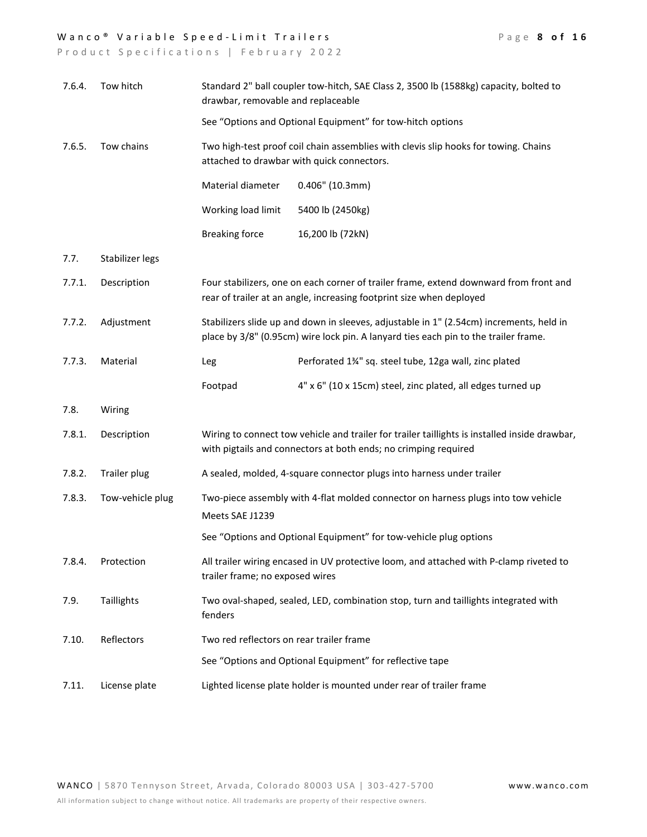## Wanco<sup>®</sup> Variable Speed-Limit Trailers Page 8 of 16

| 7.6.4. | Tow hitch        | Standard 2" ball coupler tow-hitch, SAE Class 2, 3500 lb (1588kg) capacity, bolted to<br>drawbar, removable and replaceable                                                    |                                                                                                                                                               |
|--------|------------------|--------------------------------------------------------------------------------------------------------------------------------------------------------------------------------|---------------------------------------------------------------------------------------------------------------------------------------------------------------|
|        |                  |                                                                                                                                                                                | See "Options and Optional Equipment" for tow-hitch options                                                                                                    |
| 7.6.5. | Tow chains       | Two high-test proof coil chain assemblies with clevis slip hooks for towing. Chains<br>attached to drawbar with quick connectors.                                              |                                                                                                                                                               |
|        |                  | Material diameter                                                                                                                                                              | $0.406''$ (10.3mm)                                                                                                                                            |
|        |                  | Working load limit                                                                                                                                                             | 5400 lb (2450kg)                                                                                                                                              |
|        |                  | <b>Breaking force</b>                                                                                                                                                          | 16,200 lb (72kN)                                                                                                                                              |
| 7.7.   | Stabilizer legs  |                                                                                                                                                                                |                                                                                                                                                               |
| 7.7.1. | Description      |                                                                                                                                                                                | Four stabilizers, one on each corner of trailer frame, extend downward from front and<br>rear of trailer at an angle, increasing footprint size when deployed |
| 7.7.2. | Adjustment       | Stabilizers slide up and down in sleeves, adjustable in 1" (2.54cm) increments, held in<br>place by 3/8" (0.95cm) wire lock pin. A lanyard ties each pin to the trailer frame. |                                                                                                                                                               |
| 7.7.3. | Material         | Leg                                                                                                                                                                            | Perforated 1%" sq. steel tube, 12ga wall, zinc plated                                                                                                         |
|        |                  | Footpad                                                                                                                                                                        | 4" x 6" (10 x 15cm) steel, zinc plated, all edges turned up                                                                                                   |
| 7.8.   | Wiring           |                                                                                                                                                                                |                                                                                                                                                               |
| 7.8.1. | Description      | Wiring to connect tow vehicle and trailer for trailer taillights is installed inside drawbar,<br>with pigtails and connectors at both ends; no crimping required               |                                                                                                                                                               |
| 7.8.2. | Trailer plug     | A sealed, molded, 4-square connector plugs into harness under trailer                                                                                                          |                                                                                                                                                               |
| 7.8.3. | Tow-vehicle plug | Two-piece assembly with 4-flat molded connector on harness plugs into tow vehicle                                                                                              |                                                                                                                                                               |
|        |                  | Meets SAE J1239                                                                                                                                                                |                                                                                                                                                               |
|        |                  |                                                                                                                                                                                | See "Options and Optional Equipment" for tow-vehicle plug options                                                                                             |
| 7.8.4. | Protection       | All trailer wiring encased in UV protective loom, and attached with P-clamp riveted to<br>trailer frame; no exposed wires                                                      |                                                                                                                                                               |
| 7.9.   | Taillights       | Two oval-shaped, sealed, LED, combination stop, turn and taillights integrated with<br>fenders                                                                                 |                                                                                                                                                               |
| 7.10.  | Reflectors       | Two red reflectors on rear trailer frame                                                                                                                                       |                                                                                                                                                               |
|        |                  |                                                                                                                                                                                | See "Options and Optional Equipment" for reflective tape                                                                                                      |
| 7.11.  | License plate    | Lighted license plate holder is mounted under rear of trailer frame                                                                                                            |                                                                                                                                                               |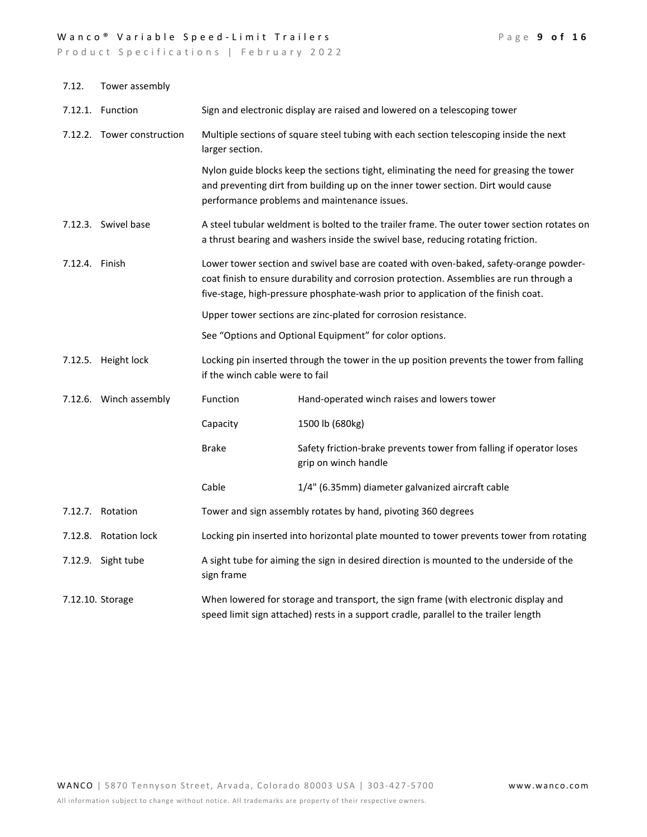## Wanco<sup>®</sup> Variable Speed-Limit Trailers Page 9 of 16

| 7.12.          | Tower assembly             |                                                                                                                                                                                                                                                                       |                                                                                                                                                                                                                              |  |
|----------------|----------------------------|-----------------------------------------------------------------------------------------------------------------------------------------------------------------------------------------------------------------------------------------------------------------------|------------------------------------------------------------------------------------------------------------------------------------------------------------------------------------------------------------------------------|--|
|                | 7.12.1. Function           | Sign and electronic display are raised and lowered on a telescoping tower                                                                                                                                                                                             |                                                                                                                                                                                                                              |  |
|                | 7.12.2. Tower construction | Multiple sections of square steel tubing with each section telescoping inside the next<br>larger section.                                                                                                                                                             |                                                                                                                                                                                                                              |  |
|                |                            |                                                                                                                                                                                                                                                                       | Nylon guide blocks keep the sections tight, eliminating the need for greasing the tower<br>and preventing dirt from building up on the inner tower section. Dirt would cause<br>performance problems and maintenance issues. |  |
|                | 7.12.3. Swivel base        |                                                                                                                                                                                                                                                                       | A steel tubular weldment is bolted to the trailer frame. The outer tower section rotates on<br>a thrust bearing and washers inside the swivel base, reducing rotating friction.                                              |  |
| 7.12.4. Finish |                            | Lower tower section and swivel base are coated with oven-baked, safety-orange powder-<br>coat finish to ensure durability and corrosion protection. Assemblies are run through a<br>five-stage, high-pressure phosphate-wash prior to application of the finish coat. |                                                                                                                                                                                                                              |  |
|                |                            |                                                                                                                                                                                                                                                                       | Upper tower sections are zinc-plated for corrosion resistance.                                                                                                                                                               |  |
|                |                            |                                                                                                                                                                                                                                                                       | See "Options and Optional Equipment" for color options.                                                                                                                                                                      |  |
|                | 7.12.5. Height lock        | if the winch cable were to fail                                                                                                                                                                                                                                       | Locking pin inserted through the tower in the up position prevents the tower from falling                                                                                                                                    |  |
|                | 7.12.6. Winch assembly     | Function                                                                                                                                                                                                                                                              | Hand-operated winch raises and lowers tower                                                                                                                                                                                  |  |
|                |                            | Capacity                                                                                                                                                                                                                                                              | 1500 lb (680kg)                                                                                                                                                                                                              |  |
|                |                            | <b>Brake</b>                                                                                                                                                                                                                                                          | Safety friction-brake prevents tower from falling if operator loses<br>grip on winch handle                                                                                                                                  |  |
|                |                            | Cable                                                                                                                                                                                                                                                                 | 1/4" (6.35mm) diameter galvanized aircraft cable                                                                                                                                                                             |  |
|                | 7.12.7. Rotation           |                                                                                                                                                                                                                                                                       | Tower and sign assembly rotates by hand, pivoting 360 degrees                                                                                                                                                                |  |
|                | 7.12.8. Rotation lock      | Locking pin inserted into horizontal plate mounted to tower prevents tower from rotating                                                                                                                                                                              |                                                                                                                                                                                                                              |  |
|                | 7.12.9. Sight tube         | sign frame                                                                                                                                                                                                                                                            | A sight tube for aiming the sign in desired direction is mounted to the underside of the                                                                                                                                     |  |
|                | 7.12.10. Storage           | When lowered for storage and transport, the sign frame (with electronic display and<br>speed limit sign attached) rests in a support cradle, parallel to the trailer length                                                                                           |                                                                                                                                                                                                                              |  |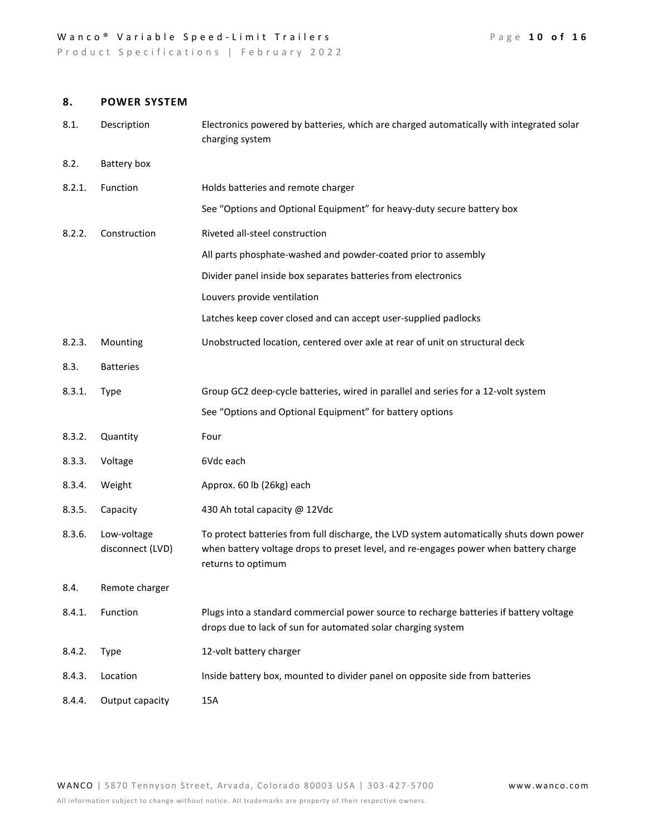Product Specifications | February 2022

# **8. POWER SYSTEM**

| 8.1.   | Description                     | Electronics powered by batteries, which are charged automatically with integrated solar<br>charging system                                                                                            |
|--------|---------------------------------|-------------------------------------------------------------------------------------------------------------------------------------------------------------------------------------------------------|
| 8.2.   | Battery box                     |                                                                                                                                                                                                       |
| 8.2.1. | Function                        | Holds batteries and remote charger                                                                                                                                                                    |
|        |                                 | See "Options and Optional Equipment" for heavy-duty secure battery box                                                                                                                                |
| 8.2.2. | Construction                    | Riveted all-steel construction                                                                                                                                                                        |
|        |                                 | All parts phosphate-washed and powder-coated prior to assembly                                                                                                                                        |
|        |                                 | Divider panel inside box separates batteries from electronics                                                                                                                                         |
|        |                                 | Louvers provide ventilation                                                                                                                                                                           |
|        |                                 | Latches keep cover closed and can accept user-supplied padlocks                                                                                                                                       |
| 8.2.3. | Mounting                        | Unobstructed location, centered over axle at rear of unit on structural deck                                                                                                                          |
| 8.3.   | <b>Batteries</b>                |                                                                                                                                                                                                       |
| 8.3.1. | <b>Type</b>                     | Group GC2 deep-cycle batteries, wired in parallel and series for a 12-volt system                                                                                                                     |
|        |                                 | See "Options and Optional Equipment" for battery options                                                                                                                                              |
| 8.3.2. | Quantity                        | Four                                                                                                                                                                                                  |
| 8.3.3. | Voltage                         | 6Vdc each                                                                                                                                                                                             |
| 8.3.4. | Weight                          | Approx. 60 lb (26kg) each                                                                                                                                                                             |
| 8.3.5. | Capacity                        | 430 Ah total capacity @ 12Vdc                                                                                                                                                                         |
| 8.3.6. | Low-voltage<br>disconnect (LVD) | To protect batteries from full discharge, the LVD system automatically shuts down power<br>when battery voltage drops to preset level, and re-engages power when battery charge<br>returns to optimum |
| 8.4.   | Remote charger                  |                                                                                                                                                                                                       |
| 8.4.1. | Function                        | Plugs into a standard commercial power source to recharge batteries if battery voltage<br>drops due to lack of sun for automated solar charging system                                                |
| 8.4.2. | <b>Type</b>                     | 12-volt battery charger                                                                                                                                                                               |
| 8.4.3. | Location                        | Inside battery box, mounted to divider panel on opposite side from batteries                                                                                                                          |
| 8.4.4. | Output capacity                 | 15A                                                                                                                                                                                                   |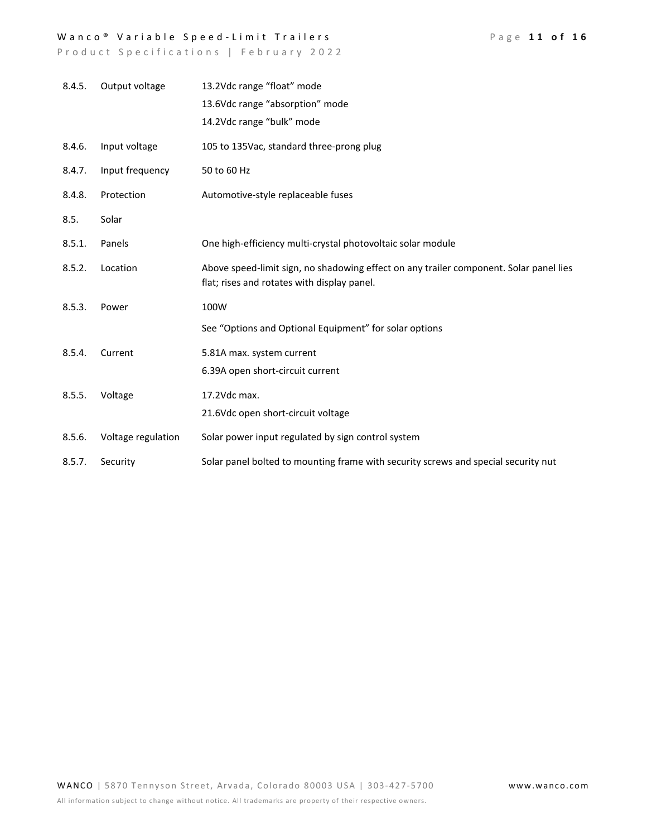# Wanco<sup>®</sup> Variable Speed-Limit Trailers Page 11 of 16

| 8.4.5. | Output voltage     | 13.2Vdc range "float" mode                                                                                                            |
|--------|--------------------|---------------------------------------------------------------------------------------------------------------------------------------|
|        |                    | 13.6Vdc range "absorption" mode                                                                                                       |
|        |                    | 14.2Vdc range "bulk" mode                                                                                                             |
| 8.4.6. | Input voltage      | 105 to 135Vac, standard three-prong plug                                                                                              |
| 8.4.7. | Input frequency    | 50 to 60 Hz                                                                                                                           |
| 8.4.8. | Protection         | Automotive-style replaceable fuses                                                                                                    |
| 8.5.   | Solar              |                                                                                                                                       |
| 8.5.1. | Panels             | One high-efficiency multi-crystal photovoltaic solar module                                                                           |
| 8.5.2. | Location           | Above speed-limit sign, no shadowing effect on any trailer component. Solar panel lies<br>flat; rises and rotates with display panel. |
| 8.5.3. | Power              | 100W                                                                                                                                  |
|        |                    | See "Options and Optional Equipment" for solar options                                                                                |
| 8.5.4. | Current            | 5.81A max. system current                                                                                                             |
|        |                    | 6.39A open short-circuit current                                                                                                      |
| 8.5.5. | Voltage            | 17.2Vdc max.                                                                                                                          |
|        |                    | 21.6Vdc open short-circuit voltage                                                                                                    |
| 8.5.6. | Voltage regulation | Solar power input regulated by sign control system                                                                                    |
| 8.5.7. | Security           | Solar panel bolted to mounting frame with security screws and special security nut                                                    |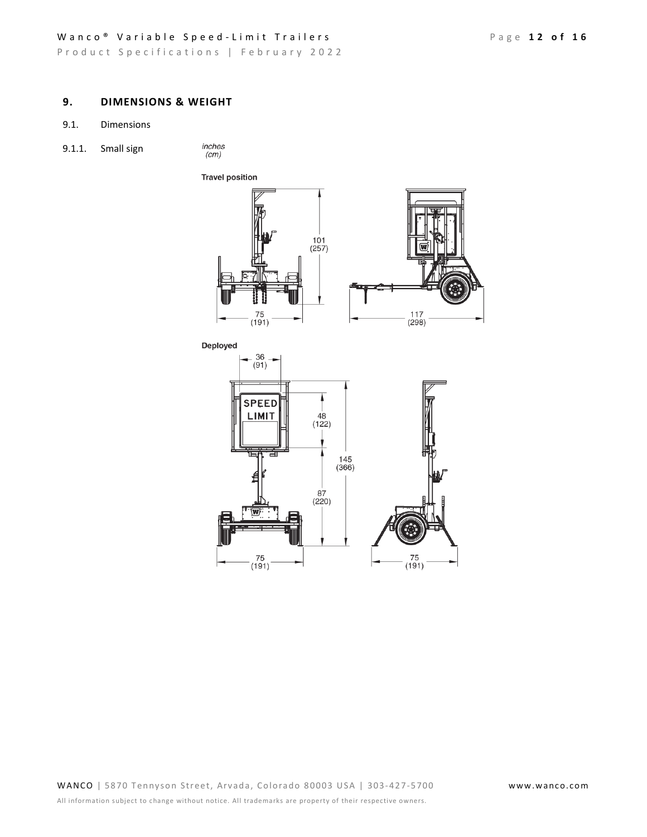## Wanco<sup>®</sup> Variable Speed-Limit Trailers Page 12 of 16

Product Specifications | February 2022

# **9. DIMENSIONS & WEIGHT**

- 9.1. Dimensions
- 9.1.1. Small sign

inches<br>(cm)



 $75$ <br>(191)  $75$ <br>(191)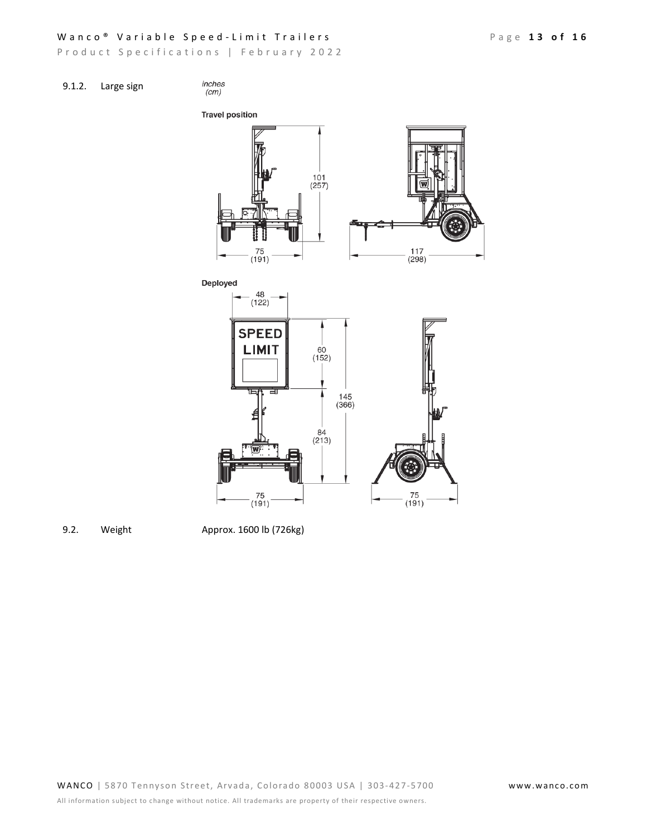## Wanco<sup>®</sup> Variable Speed-Limit Trailers Page 13 of 16

Product Specifications | February 2022

inches  $(cm)$ 





9.2. Weight Approx. 1600 lb (726kg)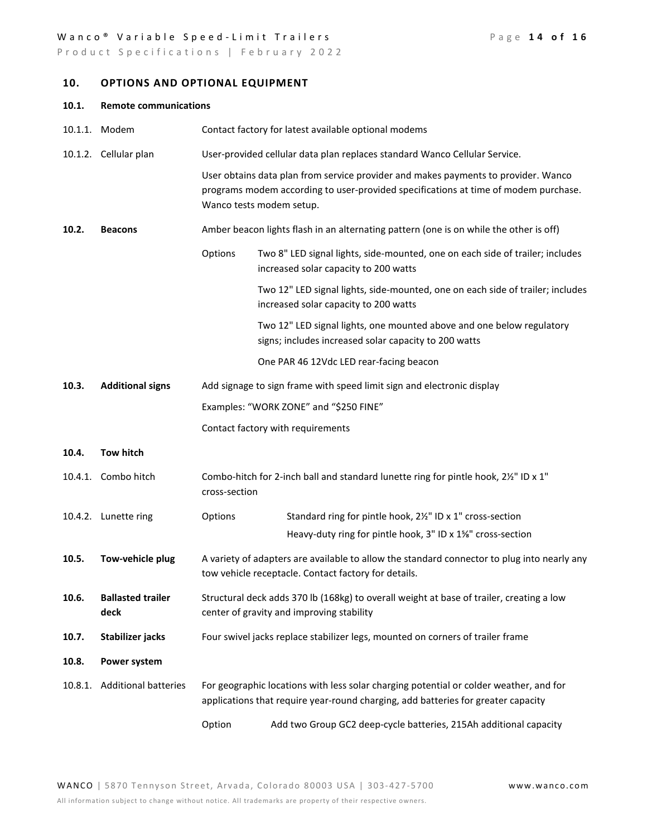## Wanco<sup>®</sup> Variable Speed-Limit Trailers Page 14 of 16

Product Specifications | February 2022

# **10. OPTIONS AND OPTIONAL EQUIPMENT**

| <b>Remote communications</b><br>10.1. |  |
|---------------------------------------|--|
|---------------------------------------|--|

|         | 10.1.1. Modem                    |                          | Contact factory for latest available optional modems                                                                                                                        |
|---------|----------------------------------|--------------------------|-----------------------------------------------------------------------------------------------------------------------------------------------------------------------------|
|         | 10.1.2. Cellular plan            |                          | User-provided cellular data plan replaces standard Wanco Cellular Service.                                                                                                  |
|         |                                  | Wanco tests modem setup. | User obtains data plan from service provider and makes payments to provider. Wanco<br>programs modem according to user-provided specifications at time of modem purchase.   |
| 10.2.   | <b>Beacons</b>                   |                          | Amber beacon lights flash in an alternating pattern (one is on while the other is off)                                                                                      |
|         |                                  | Options                  | Two 8" LED signal lights, side-mounted, one on each side of trailer; includes<br>increased solar capacity to 200 watts                                                      |
|         |                                  |                          | Two 12" LED signal lights, side-mounted, one on each side of trailer; includes<br>increased solar capacity to 200 watts                                                     |
|         |                                  |                          | Two 12" LED signal lights, one mounted above and one below regulatory<br>signs; includes increased solar capacity to 200 watts                                              |
|         |                                  |                          | One PAR 46 12Vdc LED rear-facing beacon                                                                                                                                     |
| 10.3.   | <b>Additional signs</b>          |                          | Add signage to sign frame with speed limit sign and electronic display                                                                                                      |
|         |                                  |                          | Examples: "WORK ZONE" and "\$250 FINE"                                                                                                                                      |
|         |                                  |                          | Contact factory with requirements                                                                                                                                           |
| 10.4.   | Tow hitch                        |                          |                                                                                                                                                                             |
|         | 10.4.1. Combo hitch              | cross-section            | Combo-hitch for 2-inch ball and standard lunette ring for pintle hook, 2%" ID x 1"                                                                                          |
|         | 10.4.2. Lunette ring             | Options                  | Standard ring for pintle hook, 21/2" ID x 1" cross-section                                                                                                                  |
|         |                                  |                          | Heavy-duty ring for pintle hook, 3" ID x 1%" cross-section                                                                                                                  |
| 10.5.   | Tow-vehicle plug                 |                          | A variety of adapters are available to allow the standard connector to plug into nearly any<br>tow vehicle receptacle. Contact factory for details.                         |
| 10.6.   | <b>Ballasted trailer</b><br>deck |                          | Structural deck adds 370 lb (168kg) to overall weight at base of trailer, creating a low<br>center of gravity and improving stability                                       |
| 10.7.   | Stabilizer jacks                 |                          | Four swivel jacks replace stabilizer legs, mounted on corners of trailer frame                                                                                              |
| 10.8.   | Power system                     |                          |                                                                                                                                                                             |
| 10.8.1. | <b>Additional batteries</b>      |                          | For geographic locations with less solar charging potential or colder weather, and for<br>applications that require year-round charging, add batteries for greater capacity |
|         |                                  | Option                   | Add two Group GC2 deep-cycle batteries, 215Ah additional capacity                                                                                                           |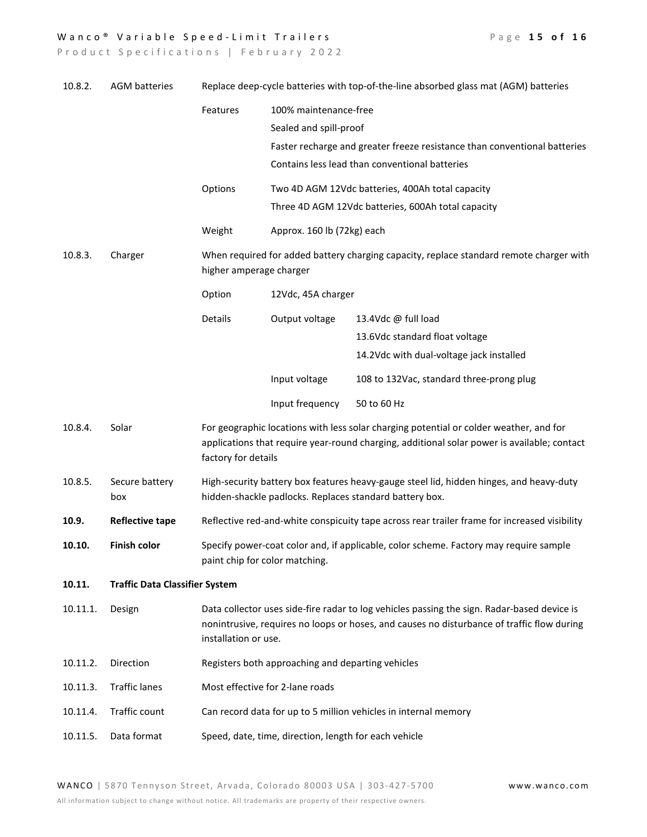## Wanco<sup>®</sup> Variable Speed-Limit Trailers

|  |  |  | Page 15 of 16 |  |  |
|--|--|--|---------------|--|--|
|  |  |  |               |  |  |

| 10.8.2.  | <b>AGM batteries</b>                  |                                                                 |                                                                                                                    | Replace deep-cycle batteries with top-of-the-line absorbed glass mat (AGM) batteries                                                                                                      |
|----------|---------------------------------------|-----------------------------------------------------------------|--------------------------------------------------------------------------------------------------------------------|-------------------------------------------------------------------------------------------------------------------------------------------------------------------------------------------|
|          |                                       | Features                                                        | 100% maintenance-free                                                                                              |                                                                                                                                                                                           |
|          |                                       |                                                                 | Sealed and spill-proof                                                                                             |                                                                                                                                                                                           |
|          |                                       |                                                                 |                                                                                                                    | Faster recharge and greater freeze resistance than conventional batteries                                                                                                                 |
|          |                                       |                                                                 |                                                                                                                    | Contains less lead than conventional batteries                                                                                                                                            |
|          |                                       | Options                                                         |                                                                                                                    | Two 4D AGM 12Vdc batteries, 400Ah total capacity                                                                                                                                          |
|          |                                       |                                                                 |                                                                                                                    | Three 4D AGM 12Vdc batteries, 600Ah total capacity                                                                                                                                        |
|          |                                       | Weight                                                          | Approx. 160 lb (72kg) each                                                                                         |                                                                                                                                                                                           |
| 10.8.3.  | Charger                               |                                                                 | When required for added battery charging capacity, replace standard remote charger with<br>higher amperage charger |                                                                                                                                                                                           |
|          |                                       | Option                                                          | 12Vdc, 45A charger                                                                                                 |                                                                                                                                                                                           |
|          |                                       | Details                                                         | Output voltage                                                                                                     | 13.4Vdc @ full load                                                                                                                                                                       |
|          |                                       |                                                                 |                                                                                                                    | 13.6Vdc standard float voltage                                                                                                                                                            |
|          |                                       |                                                                 |                                                                                                                    | 14.2Vdc with dual-voltage jack installed                                                                                                                                                  |
|          |                                       |                                                                 | Input voltage                                                                                                      | 108 to 132Vac, standard three-prong plug                                                                                                                                                  |
|          |                                       |                                                                 | Input frequency                                                                                                    | 50 to 60 Hz                                                                                                                                                                               |
| 10.8.4.  | Solar                                 | factory for details                                             |                                                                                                                    | For geographic locations with less solar charging potential or colder weather, and for<br>applications that require year-round charging, additional solar power is available; contact     |
| 10.8.5.  | Secure battery<br>box                 |                                                                 |                                                                                                                    | High-security battery box features heavy-gauge steel lid, hidden hinges, and heavy-duty<br>hidden-shackle padlocks. Replaces standard battery box.                                        |
| 10.9.    | <b>Reflective tape</b>                |                                                                 |                                                                                                                    | Reflective red-and-white conspicuity tape across rear trailer frame for increased visibility                                                                                              |
| 10.10.   | <b>Finish color</b>                   | paint chip for color matching.                                  |                                                                                                                    | Specify power-coat color and, if applicable, color scheme. Factory may require sample                                                                                                     |
| 10.11.   | <b>Traffic Data Classifier System</b> |                                                                 |                                                                                                                    |                                                                                                                                                                                           |
| 10.11.1. | Design                                | installation or use.                                            |                                                                                                                    | Data collector uses side-fire radar to log vehicles passing the sign. Radar-based device is<br>nonintrusive, requires no loops or hoses, and causes no disturbance of traffic flow during |
| 10.11.2. | Direction                             |                                                                 | Registers both approaching and departing vehicles                                                                  |                                                                                                                                                                                           |
| 10.11.3. | <b>Traffic lanes</b>                  |                                                                 | Most effective for 2-lane roads                                                                                    |                                                                                                                                                                                           |
| 10.11.4. | Traffic count                         | Can record data for up to 5 million vehicles in internal memory |                                                                                                                    |                                                                                                                                                                                           |
| 10.11.5. | Data format                           |                                                                 | Speed, date, time, direction, length for each vehicle                                                              |                                                                                                                                                                                           |